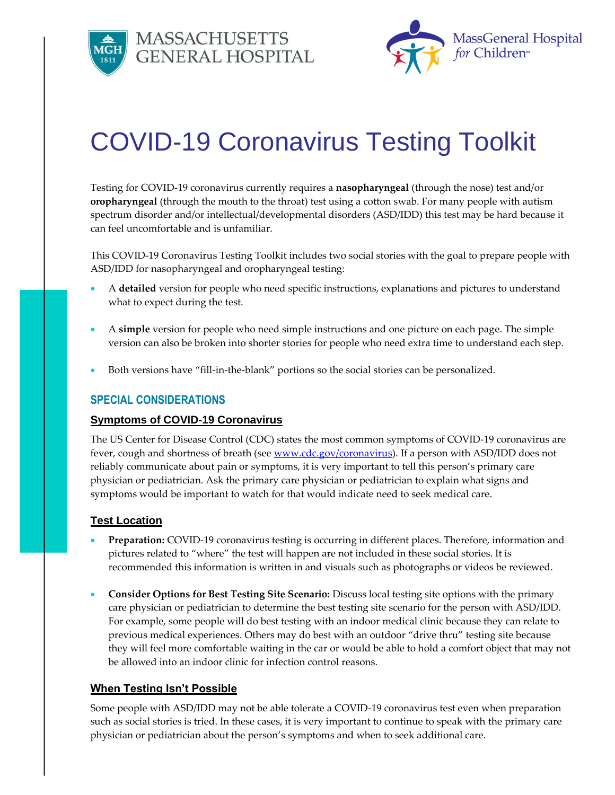





# COVID-19 Coronavirus Testing Toolkit

Testing for COVID-19 coronavirus currently requires a **nasopharyngeal** (through the nose) test and/or **oropharyngeal** (through the mouth to the throat) test using a cotton swab. For many people with autism spectrum disorder and/or intellectual/developmental disorders (ASD/IDD) this test may be hard because it can feel uncomfortable and is unfamiliar.

This COVID-19 Coronavirus Testing Toolkit includes two social stories with the goal to prepare people with ASD/IDD for nasopharyngeal and oropharyngeal testing:

- A **detailed** version for people who need specific instructions, explanations and pictures to understand what to expect during the test.
- A **simple** version for people who need simple instructions and one picture on each page. The simple version can also be broken into shorter stories for people who need extra time to understand each step.
- Both versions have "fill-in-the-blank" portions so the social stories can be personalized.

# **SPECIAL CONSIDERATIONS**

# **Symptoms of COVID-19 Coronavirus**

The US Center for Disease Control (CDC) states the most common symptoms of COVID-19 coronavirus are fever, cough and shortness of breath (see [www.cdc.gov/coronavirus\)](http://www.cdc.gov/coronavirus). If a person with ASD/IDD does not reliably communicate about pain or symptoms, it is very important to tell this person's primary care physician or pediatrician. Ask the primary care physician or pediatrician to explain what signs and symptoms would be important to watch for that would indicate need to seek medical care.

# **Test Location**

- **Preparation:** COVID-19 coronavirus testing is occurring in different places. Therefore, information and pictures related to "where" the test will happen are not included in these social stories. It is recommended this information is written in and visuals such as photographs or videos be reviewed.
- **Consider Options for Best Testing Site Scenario:** Discuss local testing site options with the primary care physician or pediatrician to determine the best testing site scenario for the person with ASD/IDD. For example, some people will do best testing with an indoor medical clinic because they can relate to previous medical experiences. Others may do best with an outdoor "drive thru" testing site because they will feel more comfortable waiting in the car or would be able to hold a comfort object that may not be allowed into an indoor clinic for infection control reasons.

# **When Testing Isn't Possible**

Some people with ASD/IDD may not be able tolerate a COVID-19 coronavirus test even when preparation such as social stories is tried. In these cases, it is very important to continue to speak with the primary care physician or pediatrician about the person's symptoms and when to seek additional care.